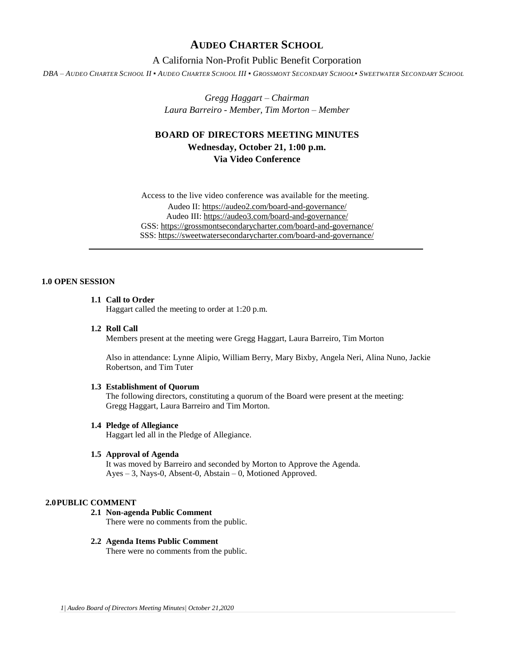# **AUDEO CHARTER SCHOOL**

## A California Non-Profit Public Benefit Corporation

DBA - AUDEO CHARTER SCHOOL II . AUDEO CHARTER SCHOOL III . GROSSMONT SECONDARY SCHOOL. SWEETWATER SECONDARY SCHOOL

*Gregg Haggart – Chairman Laura Barreiro - Member, Tim Morton – Member*

# **BOARD OF DIRECTORS MEETING MINUTES Wednesday, October 21, 1:00 p.m.**

**Via Video Conference**

Access to the live video conference was available for the meeting. Audeo II[: https://audeo2.com/board-and-governance/](https://audeo2.com/board-and-governance/) Audeo III:<https://audeo3.com/board-and-governance/> GSS:<https://grossmontsecondarycharter.com/board-and-governance/> SSS:<https://sweetwatersecondarycharter.com/board-and-governance/>

### **1.0 OPEN SESSION**

### **1.1 Call to Order**

Haggart called the meeting to order at 1:20 p.m.

**1.2 Roll Call**

Members present at the meeting were Gregg Haggart, Laura Barreiro, Tim Morton

Also in attendance: Lynne Alipio, William Berry, Mary Bixby, Angela Neri, Alina Nuno, Jackie Robertson, and Tim Tuter

#### **1.3 Establishment of Quorum**

The following directors, constituting a quorum of the Board were present at the meeting: Gregg Haggart, Laura Barreiro and Tim Morton.

#### **1.4 Pledge of Allegiance**

Haggart led all in the Pledge of Allegiance.

#### **1.5 Approval of Agenda**

It was moved by Barreiro and seconded by Morton to Approve the Agenda. Ayes – 3, Nays-0, Absent-0, Abstain – 0, Motioned Approved.

#### **2.0PUBLIC COMMENT**

**2.1 Non-agenda Public Comment** There were no comments from the public.

### **2.2 Agenda Items Public Comment**

There were no comments from the public.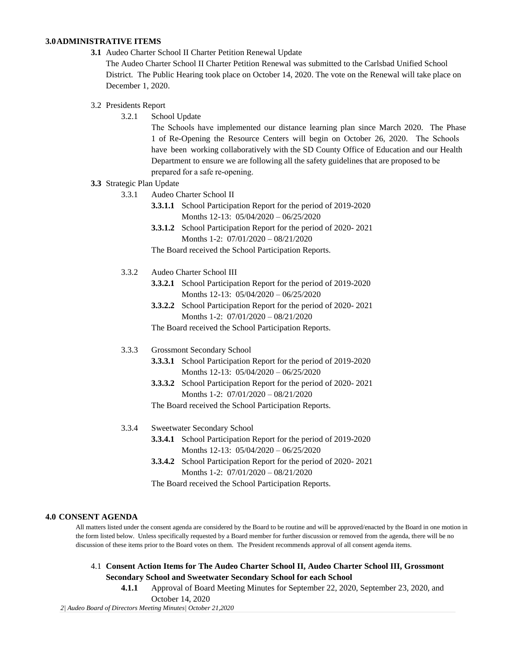### **3.0ADMINISTRATIVE ITEMS**

**3.1** Audeo Charter School II Charter Petition Renewal Update

The Audeo Charter School II Charter Petition Renewal was submitted to the Carlsbad Unified School District. The Public Hearing took place on October 14, 2020. The vote on the Renewal will take place on December 1, 2020.

### 3.2 Presidents Report

3.2.1 School Update

The Schools have implemented our distance learning plan since March 2020. The Phase 1 of Re-Opening the Resource Centers will begin on October 26, 2020. The Schools have been working collaboratively with the SD County Office of Education and our Health Department to ensure we are following all the safety guidelines that are proposed to be prepared for a safe re-opening.

#### **3.3** Strategic Plan Update

- 3.3.1 Audeo Charter School II
	- **3.3.1.1** School Participation Report for the period of 2019-2020 Months 12-13: 05/04/2020 – 06/25/2020
	- **3.3.1.2** School Participation Report for the period of 2020- 2021 Months 1-2: 07/01/2020 – 08/21/2020

The Board received the School Participation Reports.

- 3.3.2 Audeo Charter School III
	- **3.3.2.1** School Participation Report for the period of 2019-2020 Months 12-13: 05/04/2020 – 06/25/2020
	- **3.3.2.2** School Participation Report for the period of 2020- 2021 Months 1-2: 07/01/2020 – 08/21/2020

The Board received the School Participation Reports.

#### 3.3.3 Grossmont Secondary School

- **3.3.3.1** School Participation Report for the period of 2019-2020 Months 12-13: 05/04/2020 – 06/25/2020
- **3.3.3.2** School Participation Report for the period of 2020- 2021 Months 1-2: 07/01/2020 – 08/21/2020

The Board received the School Participation Reports.

- 3.3.4 Sweetwater Secondary School
	- **3.3.4.1** School Participation Report for the period of 2019-2020 Months 12-13: 05/04/2020 – 06/25/2020
	- **3.3.4.2** School Participation Report for the period of 2020- 2021 Months 1-2: 07/01/2020 – 08/21/2020

The Board received the School Participation Reports.

#### **4.0 CONSENT AGENDA**

All matters listed under the consent agenda are considered by the Board to be routine and will be approved/enacted by the Board in one motion in the form listed below. Unless specifically requested by a Board member for further discussion or removed from the agenda, there will be no discussion of these items prior to the Board votes on them. The President recommends approval of all consent agenda items.

- 4.1 **Consent Action Items for The Audeo Charter School II, Audeo Charter School III, Grossmont Secondary School and Sweetwater Secondary School for each School**
	- **4.1.1** Approval of Board Meeting Minutes for September 22, 2020, September 23, 2020, and

*2| Audeo Board of Directors Meeting Minutes| October 21,2020* October 14, 2020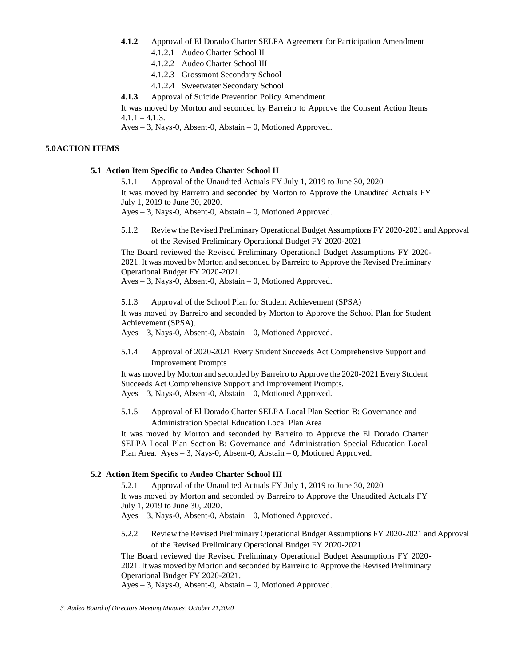- **4.1.2** Approval of El Dorado Charter SELPA Agreement for Participation Amendment
	- 4.1.2.1 Audeo Charter School II
	- 4.1.2.2 Audeo Charter School III
	- 4.1.2.3 Grossmont Secondary School
	- 4.1.2.4 Sweetwater Secondary School

**4.1.3** Approval of Suicide Prevention Policy Amendment

It was moved by Morton and seconded by Barreiro to Approve the Consent Action Items  $4.1.1 - 4.1.3$ .

Ayes – 3, Nays-0, Absent-0, Abstain – 0, Motioned Approved.

# **5.0ACTION ITEMS**

# **5.1 Action Item Specific to Audeo Charter School II**

5.1.1 Approval of the Unaudited Actuals FY July 1, 2019 to June 30, 2020

It was moved by Barreiro and seconded by Morton to Approve the Unaudited Actuals FY July 1, 2019 to June 30, 2020.

Ayes – 3, Nays-0, Absent-0, Abstain – 0, Motioned Approved.

5.1.2 Review the Revised Preliminary Operational Budget Assumptions FY 2020-2021 and Approval of the Revised Preliminary Operational Budget FY 2020-2021

The Board reviewed the Revised Preliminary Operational Budget Assumptions FY 2020- 2021. It was moved by Morton and seconded by Barreiro to Approve the Revised Preliminary Operational Budget FY 2020-2021.

Ayes – 3, Nays-0, Absent-0, Abstain – 0, Motioned Approved.

5.1.3 Approval of the School Plan for Student Achievement (SPSA)

It was moved by Barreiro and seconded by Morton to Approve the School Plan for Student Achievement (SPSA).

Ayes – 3, Nays-0, Absent-0, Abstain – 0, Motioned Approved.

5.1.4 Approval of 2020-2021 Every Student Succeeds Act Comprehensive Support and Improvement Prompts

It was moved by Morton and seconded by Barreiro to Approve the 2020-2021 Every Student Succeeds Act Comprehensive Support and Improvement Prompts. Ayes – 3, Nays-0, Absent-0, Abstain – 0, Motioned Approved.

5.1.5 Approval of El Dorado Charter SELPA Local Plan Section B: Governance and Administration Special Education Local Plan Area

It was moved by Morton and seconded by Barreiro to Approve the El Dorado Charter SELPA Local Plan Section B: Governance and Administration Special Education Local Plan Area. Ayes – 3, Nays-0, Absent-0, Abstain – 0, Motioned Approved.

## **5.2 Action Item Specific to Audeo Charter School III**

5.2.1 Approval of the Unaudited Actuals FY July 1, 2019 to June 30, 2020 It was moved by Morton and seconded by Barreiro to Approve the Unaudited Actuals FY July 1, 2019 to June 30, 2020.

Ayes – 3, Nays-0, Absent-0, Abstain – 0, Motioned Approved.

5.2.2 Review the Revised Preliminary Operational Budget Assumptions FY 2020-2021 and Approval of the Revised Preliminary Operational Budget FY 2020-2021

The Board reviewed the Revised Preliminary Operational Budget Assumptions FY 2020- 2021. It was moved by Morton and seconded by Barreiro to Approve the Revised Preliminary Operational Budget FY 2020-2021.

Ayes – 3, Nays-0, Absent-0, Abstain – 0, Motioned Approved.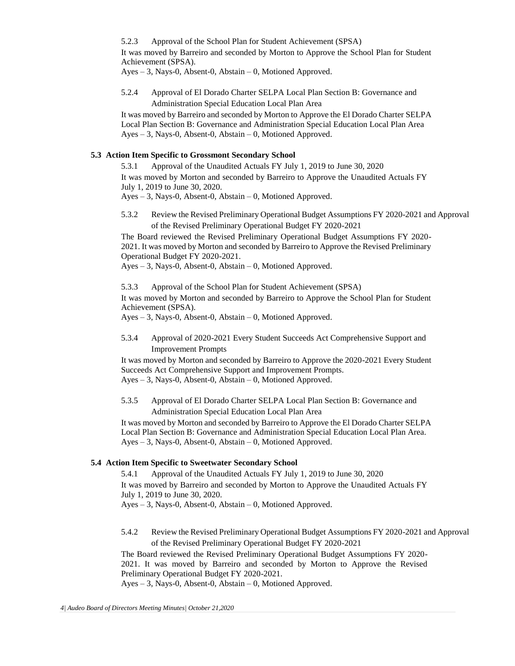5.2.3 Approval of the School Plan for Student Achievement (SPSA) It was moved by Barreiro and seconded by Morton to Approve the School Plan for Student

Achievement (SPSA). Ayes – 3, Nays-0, Absent-0, Abstain – 0, Motioned Approved.

5.2.4 Approval of El Dorado Charter SELPA Local Plan Section B: Governance and Administration Special Education Local Plan Area

It was moved by Barreiro and seconded by Morton to Approve the El Dorado Charter SELPA Local Plan Section B: Governance and Administration Special Education Local Plan Area Ayes – 3, Nays-0, Absent-0, Abstain – 0, Motioned Approved.

### **5.3 Action Item Specific to Grossmont Secondary School**

5.3.1 Approval of the Unaudited Actuals FY July 1, 2019 to June 30, 2020 It was moved by Morton and seconded by Barreiro to Approve the Unaudited Actuals FY July 1, 2019 to June 30, 2020.

Ayes – 3, Nays-0, Absent-0, Abstain – 0, Motioned Approved.

5.3.2 Review the Revised Preliminary Operational Budget Assumptions FY 2020-2021 and Approval of the Revised Preliminary Operational Budget FY 2020-2021

The Board reviewed the Revised Preliminary Operational Budget Assumptions FY 2020- 2021. It was moved by Morton and seconded by Barreiro to Approve the Revised Preliminary Operational Budget FY 2020-2021.

Ayes – 3, Nays-0, Absent-0, Abstain – 0, Motioned Approved.

5.3.3 Approval of the School Plan for Student Achievement (SPSA)

It was moved by Morton and seconded by Barreiro to Approve the School Plan for Student Achievement (SPSA).

Ayes – 3, Nays-0, Absent-0, Abstain – 0, Motioned Approved.

5.3.4 Approval of 2020-2021 Every Student Succeeds Act Comprehensive Support and Improvement Prompts

It was moved by Morton and seconded by Barreiro to Approve the 2020-2021 Every Student Succeeds Act Comprehensive Support and Improvement Prompts. Ayes – 3, Nays-0, Absent-0, Abstain – 0, Motioned Approved.

5.3.5 Approval of El Dorado Charter SELPA Local Plan Section B: Governance and Administration Special Education Local Plan Area

It was moved by Morton and seconded by Barreiro to Approve the El Dorado Charter SELPA Local Plan Section B: Governance and Administration Special Education Local Plan Area. Ayes – 3, Nays-0, Absent-0, Abstain – 0, Motioned Approved.

## **5.4 Action Item Specific to Sweetwater Secondary School**

5.4.1 Approval of the Unaudited Actuals FY July 1, 2019 to June 30, 2020 It was moved by Barreiro and seconded by Morton to Approve the Unaudited Actuals FY July 1, 2019 to June 30, 2020. Ayes – 3, Nays-0, Absent-0, Abstain – 0, Motioned Approved.

5.4.2 Review the Revised Preliminary Operational Budget Assumptions FY 2020-2021 and Approval of the Revised Preliminary Operational Budget FY 2020-2021

The Board reviewed the Revised Preliminary Operational Budget Assumptions FY 2020- 2021. It was moved by Barreiro and seconded by Morton to Approve the Revised Preliminary Operational Budget FY 2020-2021.

Ayes – 3, Nays-0, Absent-0, Abstain – 0, Motioned Approved.